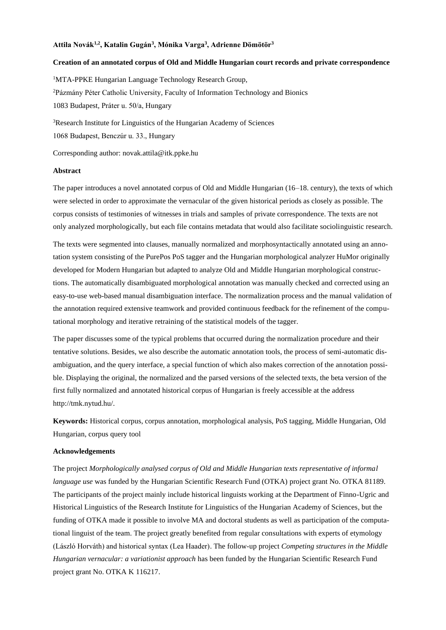#### **Attila Novák1,2, Katalin Gugán<sup>3</sup> , Mónika Varga<sup>3</sup> , Adrienne Dömötör<sup>3</sup>**

## **Creation of an annotated corpus of Old and Middle Hungarian court records and private correspondence**

MTA-PPKE Hungarian Language Technology Research Group, Pázmány Péter Catholic University, Faculty of Information Technology and Bionics 1083 Budapest, Práter u. 50/a, Hungary Research Institute for Linguistics of the Hungarian Academy of Sciences

1068 Budapest, Benczúr u. 33., Hungary

Corresponding author: novak.attila@itk.ppke.hu

#### **Abstract**

The paper introduces a novel annotated corpus of Old and Middle Hungarian (16–18. century), the texts of which were selected in order to approximate the vernacular of the given historical periods as closely as possible. The corpus consists of testimonies of witnesses in trials and samples of private correspondence. The texts are not only analyzed morphologically, but each file contains metadata that would also facilitate sociolinguistic research.

The texts were segmented into clauses, manually normalized and morphosyntactically annotated using an annotation system consisting of the PurePos PoS tagger and the Hungarian morphological analyzer HuMor originally developed for Modern Hungarian but adapted to analyze Old and Middle Hungarian morphological constructions. The automatically disambiguated morphological annotation was manually checked and corrected using an easy-to-use web-based manual disambiguation interface. The normalization process and the manual validation of the annotation required extensive teamwork and provided continuous feedback for the refinement of the computational morphology and iterative retraining of the statistical models of the tagger.

The paper discusses some of the typical problems that occurred during the normalization procedure and their tentative solutions. Besides, we also describe the automatic annotation tools, the process of semi-automatic disambiguation, and the query interface, a special function of which also makes correction of the annotation possible. Displaying the original, the normalized and the parsed versions of the selected texts, the beta version of the first fully normalized and annotated historical corpus of Hungarian is freely accessible at the address http://tmk.nytud.hu/.

**Keywords:** Historical corpus, corpus annotation, morphological analysis, PoS tagging, Middle Hungarian, Old Hungarian, corpus query tool

#### **Acknowledgements**

The project *Morphologically analysed corpus of Old and Middle Hungarian texts representative of informal language use* was funded by the Hungarian Scientific Research Fund (OTKA) project grant No. OTKA 81189. The participants of the project mainly include historical linguists working at the Department of Finno-Ugric and Historical Linguistics of the Research Institute for Linguistics of the Hungarian Academy of Sciences, but the funding of OTKA made it possible to involve MA and doctoral students as well as participation of the computational linguist of the team. The project greatly benefited from regular consultations with experts of etymology (László Horváth) and historical syntax (Lea Haader). The follow-up project *Competing structures in the Middle Hungarian vernacular: a variationist approach* has been funded by the Hungarian Scientific Research Fund project grant No. OTKA K 116217.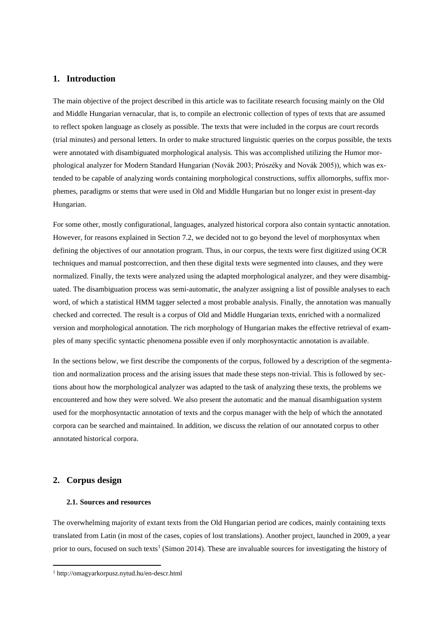## **1. Introduction**

The main objective of the project described in this article was to facilitate research focusing mainly on the Old and Middle Hungarian vernacular, that is, to compile an electronic collection of types of texts that are assumed to reflect spoken language as closely as possible. The texts that were included in the corpus are court records (trial minutes) and personal letters. In order to make structured linguistic queries on the corpus possible, the texts were annotated with disambiguated morphological analysis. This was accomplished utilizing the Humor morphological analyzer for Modern Standard Hungarian (Novák 2003; Prószéky and Novák 2005)), which was extended to be capable of analyzing words containing morphological constructions, suffix allomorphs, suffix morphemes, paradigms or stems that were used in Old and Middle Hungarian but no longer exist in present-day Hungarian.

For some other, mostly configurational, languages, analyzed historical corpora also contain syntactic annotation. However, for reasons explained in Section [7.2,](#page-21-0) we decided not to go beyond the level of morphosyntax when defining the objectives of our annotation program. Thus, in our corpus, the texts were first digitized using OCR techniques and manual postcorrection, and then these digital texts were segmented into clauses, and they were normalized. Finally, the texts were analyzed using the adapted morphological analyzer, and they were disambiguated. The disambiguation process was semi-automatic, the analyzer assigning a list of possible analyses to each word, of which a statistical HMM tagger selected a most probable analysis. Finally, the annotation was manually checked and corrected. The result is a corpus of Old and Middle Hungarian texts, enriched with a normalized version and morphological annotation. The rich morphology of Hungarian makes the effective retrieval of examples of many specific syntactic phenomena possible even if only morphosyntactic annotation is available.

In the sections below, we first describe the components of the corpus, followed by a description of the segmentation and normalization process and the arising issues that made these steps non-trivial. This is followed by sections about how the morphological analyzer was adapted to the task of analyzing these texts, the problems we encountered and how they were solved. We also present the automatic and the manual disambiguation system used for the morphosyntactic annotation of texts and the corpus manager with the help of which the annotated corpora can be searched and maintained. In addition, we discuss the relation of our annotated corpus to other annotated historical corpora.

## **2. Corpus design**

## <span id="page-1-0"></span>**2.1. Sources and resources**

The overwhelming majority of extant texts from the Old Hungarian period are codices, mainly containing texts translated from Latin (in most of the cases, copies of lost translations). Another project, launched in 2009, a year prior to ours, focused on such texts<sup>1</sup> (Simon 2014). These are invaluable sources for investigating the history of

<sup>1</sup> http://omagyarkorpusz.nytud.hu/en-descr.html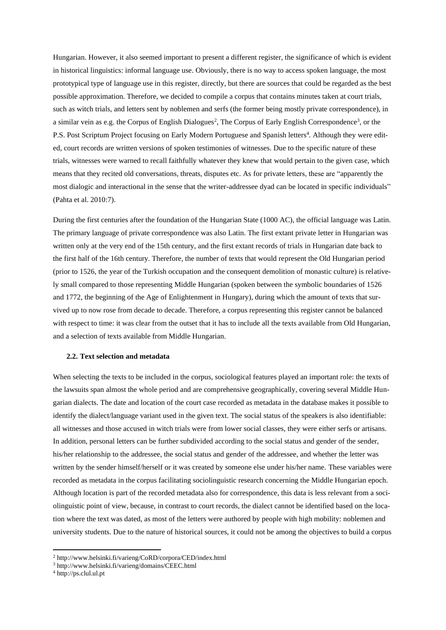Hungarian. However, it also seemed important to present a different register, the significance of which is evident in historical linguistics: informal language use. Obviously, there is no way to access spoken language, the most prototypical type of language use in this register, directly, but there are sources that could be regarded as the best possible approximation. Therefore, we decided to compile a corpus that contains minutes taken at court trials, such as witch trials, and letters sent by noblemen and serfs (the former being mostly private correspondence), in a similar vein as e.g. the Corpus of English Dialogues<sup>2</sup>, The Corpus of Early English Correspondence<sup>3</sup>, or the P.S. Post Scriptum Project focusing on Early Modern Portuguese and Spanish letters<sup>4</sup>. Although they were edited, court records are written versions of spoken testimonies of witnesses. Due to the specific nature of these trials, witnesses were warned to recall faithfully whatever they knew that would pertain to the given case, which means that they recited old conversations, threats, disputes etc. As for private letters, these are "apparently the most dialogic and interactional in the sense that the writer-addressee dyad can be located in specific individuals" (Pahta et al. 2010:7).

During the first centuries after the foundation of the Hungarian State (1000 AC), the official language was Latin. The primary language of private correspondence was also Latin. The first extant private letter in Hungarian was written only at the very end of the 15th century, and the first extant records of trials in Hungarian date back to the first half of the 16th century. Therefore, the number of texts that would represent the Old Hungarian period (prior to 1526, the year of the Turkish occupation and the consequent demolition of monastic culture) is relatively small compared to those representing Middle Hungarian (spoken between the symbolic boundaries of 1526 and 1772, the beginning of the Age of Enlightenment in Hungary), during which the amount of texts that survived up to now rose from decade to decade. Therefore, a corpus representing this register cannot be balanced with respect to time: it was clear from the outset that it has to include all the texts available from Old Hungarian, and a selection of texts available from Middle Hungarian.

### **2.2. Text selection and metadata**

When selecting the texts to be included in the corpus, sociological features played an important role: the texts of the lawsuits span almost the whole period and are comprehensive geographically, covering several Middle Hungarian dialects. The date and location of the court case recorded as metadata in the database makes it possible to identify the dialect/language variant used in the given text. The social status of the speakers is also identifiable: all witnesses and those accused in witch trials were from lower social classes, they were either serfs or artisans. In addition, personal letters can be further subdivided according to the social status and gender of the sender, his/her relationship to the addressee, the social status and gender of the addressee, and whether the letter was written by the sender himself/herself or it was created by someone else under his/her name. These variables were recorded as metadata in the corpus facilitating sociolinguistic research concerning the Middle Hungarian epoch. Although location is part of the recorded metadata also for correspondence, this data is less relevant from a sociolinguistic point of view, because, in contrast to court records, the dialect cannot be identified based on the location where the text was dated, as most of the letters were authored by people with high mobility: noblemen and university students. Due to the nature of historical sources, it could not be among the objectives to build a corpus

<sup>2</sup> http://www.helsinki.fi/varieng/CoRD/corpora/CED/index.html

<sup>3</sup> http://www.helsinki.fi/varieng/domains/CEEC.html

<sup>4</sup> http://ps.clul.ul.pt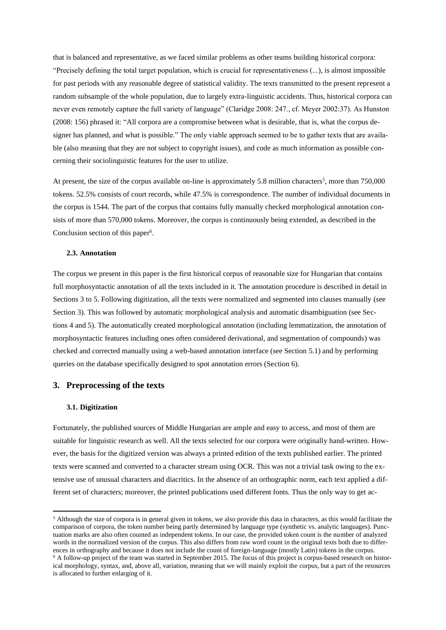that is balanced and representative, as we faced similar problems as other teams building historical corpora: "Precisely defining the total target population, which is crucial for representativeness (...), is almost impossible for past periods with any reasonable degree of statistical validity. The texts transmitted to the present represent a random subsample of the whole population, due to largely extra-linguistic accidents. Thus, historical corpora can never even remotely capture the full variety of language" (Claridge 2008: 247., cf. Meyer 2002:37). As Hunston (2008: 156) phrased it: "All corpora are a compromise between what is desirable, that is, what the corpus designer has planned, and what is possible." The only viable approach seemed to be to gather texts that are available (also meaning that they are not subject to copyright issues), and code as much information as possible concerning their sociolinguistic features for the user to utilize.

At present, the size of the corpus available on-line is approximately 5.8 million characters<sup>5</sup>, more than  $750,000$ tokens. 52.5% consists of court records, while 47.5% is correspondence. The number of individual documents in the corpus is 1544. The part of the corpus that contains fully manually checked morphological annotation consists of more than 570,000 tokens. Moreover, the corpus is continuously being extended, as described in the Conclusion section of this paper<sup>6</sup>.

#### **2.3. Annotation**

The corpus we present in this paper is the first historical corpus of reasonable size for Hungarian that contains full morphosyntactic annotation of all the texts included in it. The annotation procedure is described in detail in Sections [3](#page-3-0) to [5.](#page-11-0) Following digitization, all the texts were normalized and segmented into clauses manually (see Section [3\)](#page-3-0). This was followed by automatic morphological analysis and automatic disambiguation (see Sections [4](#page-10-0) and [5\)](#page-11-0). The automatically created morphological annotation (including lemmatization, the annotation of morphosyntactic features including ones often considered derivational, and segmentation of compounds) was checked and corrected manually using a web-based annotation interface (see Section [5.1\)](#page-13-0) and by performing queries on the database specifically designed to spot annotation errors (Section [6\)](#page-18-0).

#### <span id="page-3-0"></span>**3. Preprocessing of the texts**

#### **3.1. Digitization**

Fortunately, the published sources of Middle Hungarian are ample and easy to access, and most of them are suitable for linguistic research as well. All the texts selected for our corpora were originally hand-written. However, the basis for the digitized version was always a printed edition of the texts published earlier. The printed texts were scanned and converted to a character stream using OCR. This was not a trivial task owing to the extensive use of unusual characters and diacritics. In the absence of an orthographic norm, each text applied a different set of characters; moreover, the printed publications used different fonts. Thus the only way to get ac-

 $5$  Although the size of corpora is in general given in tokens, we also provide this data in characters, as this would facilitate the comparison of corpora, the token number being partly determined by language type (synthetic vs. analytic languages). Punctuation marks are also often counted as independent tokens. In our case, the provided token count is the number of analyzed words in the normalized version of the corpus. This also differs from raw word count in the original texts both due to differences in orthography and because it does not include the count of foreign-language (mostly Latin) tokens in the corpus.  $6$  A follow-up project of the team was started in September 2015. The focus of this project is corpus-based research on historical morphology, syntax, and, above all, variation, meaning that we will mainly exploit the corpus, but a part of the resources is allocated to further enlarging of it.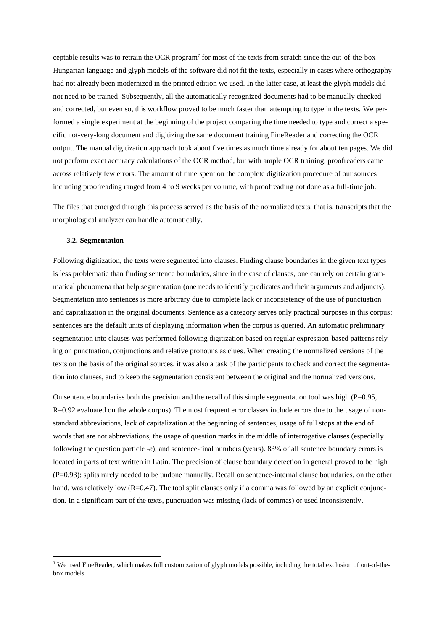ceptable results was to retrain the OCR program<sup>7</sup> for most of the texts from scratch since the out-of-the-box Hungarian language and glyph models of the software did not fit the texts, especially in cases where orthography had not already been modernized in the printed edition we used. In the latter case, at least the glyph models did not need to be trained. Subsequently, all the automatically recognized documents had to be manually checked and corrected, but even so, this workflow proved to be much faster than attempting to type in the texts. We performed a single experiment at the beginning of the project comparing the time needed to type and correct a specific not-very-long document and digitizing the same document training FineReader and correcting the OCR output. The manual digitization approach took about five times as much time already for about ten pages. We did not perform exact accuracy calculations of the OCR method, but with ample OCR training, proofreaders came across relatively few errors. The amount of time spent on the complete digitization procedure of our sources including proofreading ranged from 4 to 9 weeks per volume, with proofreading not done as a full-time job.

The files that emerged through this process served as the basis of the normalized texts, that is, transcripts that the morphological analyzer can handle automatically.

#### **3.2. Segmentation**

Following digitization, the texts were segmented into clauses. Finding clause boundaries in the given text types is less problematic than finding sentence boundaries, since in the case of clauses, one can rely on certain grammatical phenomena that help segmentation (one needs to identify predicates and their arguments and adjuncts). Segmentation into sentences is more arbitrary due to complete lack or inconsistency of the use of punctuation and capitalization in the original documents. Sentence as a category serves only practical purposes in this corpus: sentences are the default units of displaying information when the corpus is queried. An automatic preliminary segmentation into clauses was performed following digitization based on regular expression-based patterns relying on punctuation, conjunctions and relative pronouns as clues. When creating the normalized versions of the texts on the basis of the original sources, it was also a task of the participants to check and correct the segmentation into clauses, and to keep the segmentation consistent between the original and the normalized versions.

On sentence boundaries both the precision and the recall of this simple segmentation tool was high  $(P=0.95,$ R=0.92 evaluated on the whole corpus). The most frequent error classes include errors due to the usage of nonstandard abbreviations, lack of capitalization at the beginning of sentences, usage of full stops at the end of words that are not abbreviations, the usage of question marks in the middle of interrogative clauses (especially following the question particle *-e*), and sentence-final numbers (years). 83% of all sentence boundary errors is located in parts of text written in Latin. The precision of clause boundary detection in general proved to be high (P=0.93): splits rarely needed to be undone manually. Recall on sentence-internal clause boundaries, on the other hand, was relatively low (R=0.47). The tool split clauses only if a comma was followed by an explicit conjunction. In a significant part of the texts, punctuation was missing (lack of commas) or used inconsistently.

<sup>7</sup> We used FineReader, which makes full customization of glyph models possible, including the total exclusion of out-of-thebox models.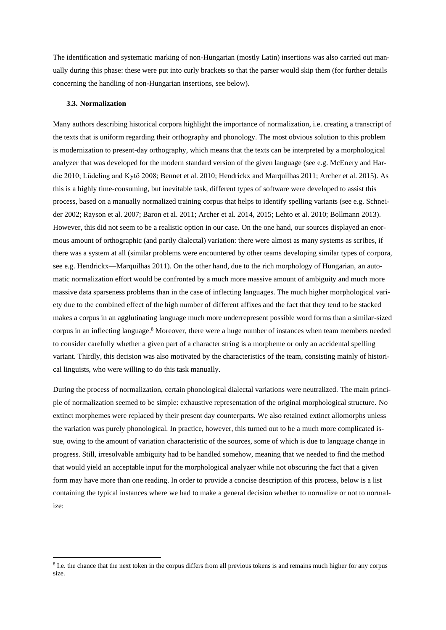The identification and systematic marking of non-Hungarian (mostly Latin) insertions was also carried out manually during this phase: these were put into curly brackets so that the parser would skip them (for further details concerning the handling of non-Hungarian insertions, see below).

#### **3.3. Normalization**

Many authors describing historical corpora highlight the importance of normalization, i.e. creating a transcript of the texts that is uniform regarding their orthography and phonology. The most obvious solution to this problem is modernization to present-day orthography, which means that the texts can be interpreted by a morphological analyzer that was developed for the modern standard version of the given language (see e.g. McEnery and Hardie 2010; Lüdeling and Kytö 2008; Bennet et al. 2010; Hendrickx and Marquilhas 2011; Archer et al. 2015). As this is a highly time-consuming, but inevitable task, different types of software were developed to assist this process, based on a manually normalized training corpus that helps to identify spelling variants (see e.g. Schneider 2002; Rayson et al. 2007; Baron et al. 2011; Archer et al. 2014, 2015; Lehto et al. 2010; Bollmann 2013). However, this did not seem to be a realistic option in our case. On the one hand, our sources displayed an enormous amount of orthographic (and partly dialectal) variation: there were almost as many systems as scribes, if there was a system at all (similar problems were encountered by other teams developing similar types of corpora, see e.g. Hendrickx—Marquilhas 2011). On the other hand, due to the rich morphology of Hungarian, an automatic normalization effort would be confronted by a much more massive amount of ambiguity and much more massive data sparseness problems than in the case of inflecting languages. The much higher morphological variety due to the combined effect of the high number of different affixes and the fact that they tend to be stacked makes a corpus in an agglutinating language much more underrepresent possible word forms than a similar-sized corpus in an inflecting language.<sup>8</sup> Moreover, there were a huge number of instances when team members needed to consider carefully whether a given part of a character string is a morpheme or only an accidental spelling variant. Thirdly, this decision was also motivated by the characteristics of the team, consisting mainly of historical linguists, who were willing to do this task manually.

During the process of normalization, certain phonological dialectal variations were neutralized. The main principle of normalization seemed to be simple: exhaustive representation of the original morphological structure. No extinct morphemes were replaced by their present day counterparts. We also retained extinct allomorphs unless the variation was purely phonological. In practice, however, this turned out to be a much more complicated issue, owing to the amount of variation characteristic of the sources, some of which is due to language change in progress. Still, irresolvable ambiguity had to be handled somehow, meaning that we needed to find the method that would yield an acceptable input for the morphological analyzer while not obscuring the fact that a given form may have more than one reading. In order to provide a concise description of this process, below is a list containing the typical instances where we had to make a general decision whether to normalize or not to normalize:

<sup>&</sup>lt;sup>8</sup> I.e. the chance that the next token in the corpus differs from all previous tokens is and remains much higher for any corpus size.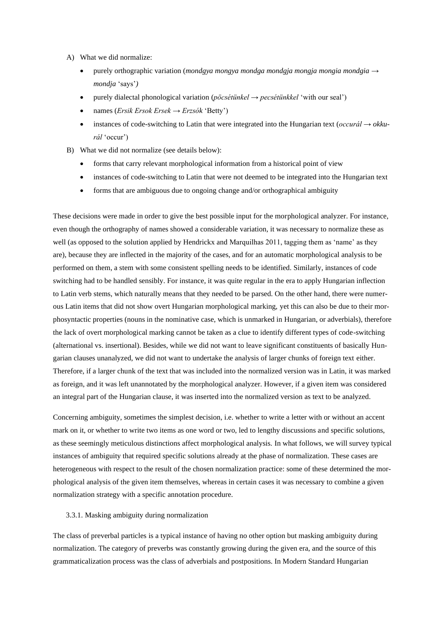- A) What we did normalize:
	- purely orthographic variation (*mondgya mongya mondga mondgja mongja mongia mondgia → mondja* 'says'*)*
	- purely dialectal phonological variation (*pöcsétünkel → pecsétünkkel* 'with our seal')
	- names (*Ersik Ersok Ersek → Erzsók* 'Betty')
	- instances of code-switching to Latin that were integrated into the Hungarian text (*occurál → okkurál* 'occur')
- B) What we did not normalize (see details below):
	- forms that carry relevant morphological information from a historical point of view
	- instances of code-switching to Latin that were not deemed to be integrated into the Hungarian text
	- forms that are ambiguous due to ongoing change and/or orthographical ambiguity

These decisions were made in order to give the best possible input for the morphological analyzer. For instance, even though the orthography of names showed a considerable variation, it was necessary to normalize these as well (as opposed to the solution applied by Hendrickx and Marquilhas 2011, tagging them as 'name' as they are), because they are inflected in the majority of the cases, and for an automatic morphological analysis to be performed on them, a stem with some consistent spelling needs to be identified. Similarly, instances of code switching had to be handled sensibly. For instance, it was quite regular in the era to apply Hungarian inflection to Latin verb stems, which naturally means that they needed to be parsed. On the other hand, there were numerous Latin items that did not show overt Hungarian morphological marking, yet this can also be due to their morphosyntactic properties (nouns in the nominative case, which is unmarked in Hungarian, or adverbials), therefore the lack of overt morphological marking cannot be taken as a clue to identify different types of code-switching (alternational vs. insertional). Besides, while we did not want to leave significant constituents of basically Hungarian clauses unanalyzed, we did not want to undertake the analysis of larger chunks of foreign text either. Therefore, if a larger chunk of the text that was included into the normalized version was in Latin, it was marked as foreign, and it was left unannotated by the morphological analyzer. However, if a given item was considered an integral part of the Hungarian clause, it was inserted into the normalized version as text to be analyzed.

Concerning ambiguity, sometimes the simplest decision, i.e. whether to write a letter with or without an accent mark on it, or whether to write two items as one word or two, led to lengthy discussions and specific solutions, as these seemingly meticulous distinctions affect morphological analysis. In what follows, we will survey typical instances of ambiguity that required specific solutions already at the phase of normalization. These cases are heterogeneous with respect to the result of the chosen normalization practice: some of these determined the morphological analysis of the given item themselves, whereas in certain cases it was necessary to combine a given normalization strategy with a specific annotation procedure.

### 3.3.1. Masking ambiguity during normalization

The class of preverbal particles is a typical instance of having no other option but masking ambiguity during normalization. The category of preverbs was constantly growing during the given era, and the source of this grammaticalization process was the class of adverbials and postpositions. In Modern Standard Hungarian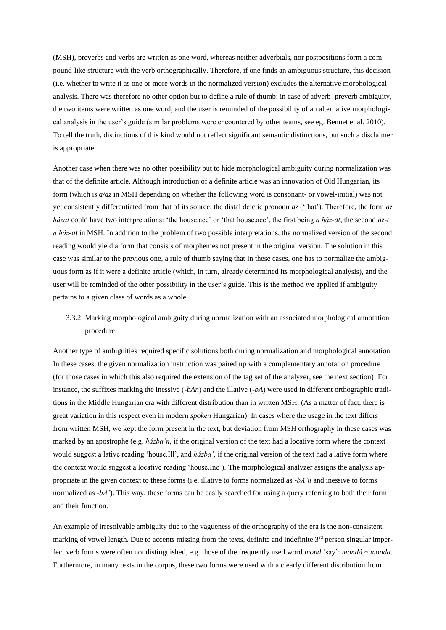(MSH), preverbs and verbs are written as one word, whereas neither adverbials, nor postpositions form a compound-like structure with the verb orthographically. Therefore, if one finds an ambiguous structure, this decision (i.e. whether to write it as one or more words in the normalized version) excludes the alternative morphological analysis. There was therefore no other option but to define a rule of thumb: in case of adverb–preverb ambiguity, the two items were written as one word, and the user is reminded of the possibility of an alternative morphological analysis in the user's guide (similar problems were encountered by other teams, see eg. Bennet et al. 2010). To tell the truth, distinctions of this kind would not reflect significant semantic distinctions, but such a disclaimer is appropriate.

Another case when there was no other possibility but to hide morphological ambiguity during normalization was that of the definite article. Although introduction of a definite article was an innovation of Old Hungarian, its form (which is *a/az* in MSH depending on whether the following word is consonant- or vowel-initial) was not yet consistently differentiated from that of its source, the distal deictic pronoun *az* ('that'). Therefore, the form *az házat* could have two interpretations: 'the house.acc' or 'that house.acc', the first being *a ház-at*, the second *az-t a ház-at* in MSH. In addition to the problem of two possible interpretations, the normalized version of the second reading would yield a form that consists of morphemes not present in the original version. The solution in this case was similar to the previous one, a rule of thumb saying that in these cases, one has to normalize the ambiguous form as if it were a definite article (which, in turn, already determined its morphological analysis), and the user will be reminded of the other possibility in the user's guide. This is the method we applied if ambiguity pertains to a given class of words as a whole.

# 3.3.2. Marking morphological ambiguity during normalization with an associated morphological annotation procedure

Another type of ambiguities required specific solutions both during normalization and morphological annotation. In these cases, the given normalization instruction was paired up with a complementary annotation procedure (for those cases in which this also required the extension of the tag set of the analyzer, see the next section). For instance, the suffixes marking the inessive (*-bAn*) and the illative (*-bA*) were used in different orthographic traditions in the Middle Hungarian era with different distribution than in written MSH. (As a matter of fact, there is great variation in this respect even in modern *spoken* Hungarian). In cases where the usage in the text differs from written MSH, we kept the form present in the text, but deviation from MSH orthography in these cases was marked by an apostrophe (e.g. *házba'n*, if the original version of the text had a locative form where the context would suggest a lative reading 'house.Ill', and *házba'*, if the original version of the text had a lative form where the context would suggest a locative reading 'house.Ine'). The morphological analyzer assigns the analysis appropriate in the given context to these forms (i.e. illative to forms normalized as *-bA'n* and inessive to forms normalized as *-bA'*). This way, these forms can be easily searched for using a query referring to both their form and their function.

An example of irresolvable ambiguity due to the vagueness of the orthography of the era is the non-consistent marking of vowel length. Due to accents missing from the texts, definite and indefinite  $3<sup>rd</sup>$  person singular imperfect verb forms were often not distinguished, e.g. those of the frequently used word *mond* 'say': *mondá* ~ *monda*. Furthermore, in many texts in the corpus, these two forms were used with a clearly different distribution from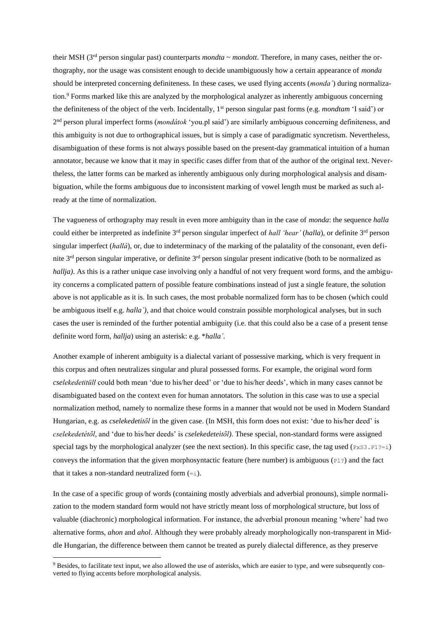their MSH ( $3<sup>rd</sup>$  person singular past) counterparts *mondta* ~ *mondott*. Therefore, in many cases, neither the orthography, nor the usage was consistent enough to decide unambiguously how a certain appearance of *monda* should be interpreted concerning definiteness. In these cases, we used flying accents (*monda´*) during normalization.<sup>9</sup> Forms marked like this are analyzed by the morphological analyzer as inherently ambiguous concerning the definiteness of the object of the verb. Incidentally, 1st person singular past forms (e.g. *mondtam* 'I said') or 2 nd person plural imperfect forms (*mondátok* 'you.pl said') are similarly ambiguous concerning definiteness, and this ambiguity is not due to orthographical issues, but is simply a case of paradigmatic syncretism. Nevertheless, disambiguation of these forms is not always possible based on the present-day grammatical intuition of a human annotator, because we know that it may in specific cases differ from that of the author of the original text. Nevertheless, the latter forms can be marked as inherently ambiguous only during morphological analysis and disambiguation, while the forms ambiguous due to inconsistent marking of vowel length must be marked as such already at the time of normalization.

The vagueness of orthography may result in even more ambiguity than in the case of *monda*: the sequence *halla* could either be interpreted as indefinite 3rd person singular imperfect of *hall 'hear'* (*halla*), or definite 3rd person singular imperfect (*hallá*), or, due to indeterminacy of the marking of the palatality of the consonant, even definite 3<sup>rd</sup> person singular imperative, or definite 3<sup>rd</sup> person singular present indicative (both to be normalized as *hallja*). As this is a rather unique case involving only a handful of not very frequent word forms, and the ambiguity concerns a complicated pattern of possible feature combinations instead of just a single feature, the solution above is not applicable as it is. In such cases, the most probable normalized form has to be chosen (which could be ambiguous itself e.g. *halla´)*, and that choice would constrain possible morphological analyses, but in such cases the user is reminded of the further potential ambiguity (i.e. that this could also be a case of a present tense definite word form, *hallja*) using an asterisk: e.g. \**halla´.*

Another example of inherent ambiguity is a dialectal variant of possessive marking, which is very frequent in this corpus and often neutralizes singular and plural possessed forms. For example, the original word form *cselekedetitüll* could both mean 'due to his/her deed' or 'due to his/her deeds', which in many cases cannot be disambiguated based on the context even for human annotators. The solution in this case was to use a special normalization method, namely to normalize these forms in a manner that would not be used in Modern Standard Hungarian, e.g. as *cselekedetitől* in the given case. (In MSH, this form does not exist: 'due to his/her deed' is *cselekedetétől,* and 'due to his/her deeds' is *cselekedeteitől).* These special, non-standard forms were assigned special tags by the morphological analyzer (see the next section). In this specific case, the tag used ( $P\times S3$ . Pl?=i) conveys the information that the given morphosyntactic feature (here number) is ambiguous ( $P1$ ?) and the fact that it takes a non-standard neutralized form  $(=i)$ .

In the case of a specific group of words (containing mostly adverbials and adverbial pronouns), simple normalization to the modern standard form would not have strictly meant loss of morphological structure, but loss of valuable (diachronic) morphological information. For instance, the adverbial pronoun meaning 'where' had two alternative forms, *ahon* and *ahol*. Although they were probably already morphologically non-transparent in Middle Hungarian, the difference between them cannot be treated as purely dialectal difference, as they preserve

<sup>9</sup> Besides, to facilitate text input, we also allowed the use of asterisks, which are easier to type, and were subsequently converted to flying accents before morphological analysis.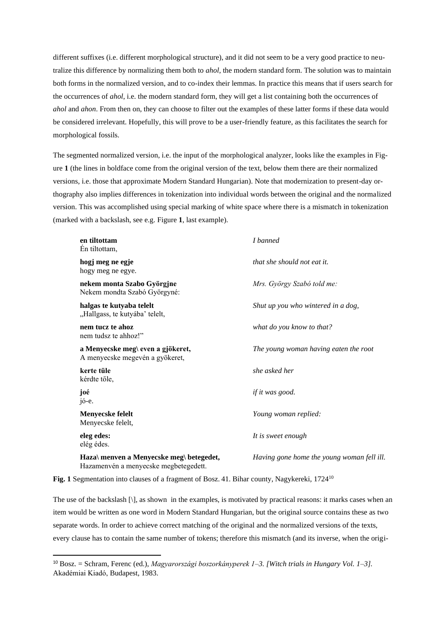different suffixes (i.e. different morphological structure), and it did not seem to be a very good practice to neutralize this difference by normalizing them both to *ahol*, the modern standard form. The solution was to maintain both forms in the normalized version, and to co-index their lemmas. In practice this means that if users search for the occurrences of *ahol*, i.e. the modern standard form, they will get a list containing both the occurrences of *ahol* and *ahon*. From then on, they can choose to filter out the examples of these latter forms if these data would be considered irrelevant. Hopefully, this will prove to be a user-friendly feature, as this facilitates the search for morphological fossils.

The segmented normalized version, i.e. the input of the morphological analyzer, looks like the examples in Figure **1** (the lines in boldface come from the original version of the text, below them there are their normalized versions, i.e. those that approximate Modern Standard Hungarian). Note that modernization to present-day orthography also implies differences in tokenization into individual words between the original and the normalized version. This was accomplished using special marking of white space where there is a mismatch in tokenization (marked with a backslash, see e.g. Figure **1**, last example).

| en tiltottam<br>Én tiltottam,                                                     | <i>I</i> banned                            |
|-----------------------------------------------------------------------------------|--------------------------------------------|
| hogj meg ne egje<br>hogy meg ne egye.                                             | that she should not eat it.                |
| nekem monta Szabo Györgjne<br>Nekem mondta Szabó Györgyné:                        | Mrs. György Szabó told me:                 |
| halgas te kutyaba telelt<br>"Hallgass, te kutyába' telelt,                        | Shut up you who wintered in a dog,         |
| nem tucz te ahoz<br>nem tudsz te ahhoz!"                                          | what do you know to that?                  |
| a Menyecske meg\ even a gjökeret,<br>A menyecske megevén a gyökeret,              | The young woman having eaten the root      |
| kerte tüle<br>kérdte tőle,                                                        | she asked her                              |
| joé<br>jó-e.                                                                      | if it was good.                            |
| Menyecske felelt<br>Menyecske felelt,                                             | Young woman replied:                       |
| eleg edes:<br>elég édes.                                                          | It is sweet enough                         |
| Haza\ menven a Menyecske meg\ betegedet,<br>Hazamenvén a menyecske megbetegedett. | Having gone home the young woman fell ill. |

**Fig. 1** Segmentation into clauses of a fragment of Bosz. 41. Bihar county, Nagykereki, 1724<sup>10</sup>

The use of the backslash [\], as shown in the examples, is motivated by practical reasons: it marks cases when an item would be written as one word in Modern Standard Hungarian, but the original source contains these as two separate words. In order to achieve correct matching of the original and the normalized versions of the texts, every clause has to contain the same number of tokens; therefore this mismatch (and its inverse, when the origi-

<sup>10</sup> Bosz. = Schram, Ferenc (ed.), *Magyarországi boszorkányperek 1–3. [Witch trials in Hungary Vol. 1–3].* Akadémiai Kiadó, Budapest, 1983.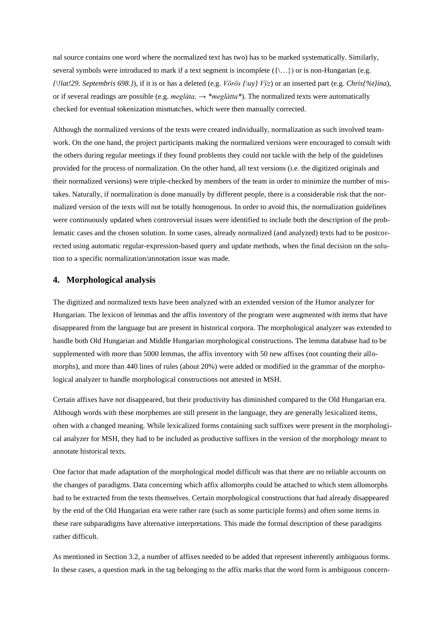nal source contains one word where the normalized text has two) has to be marked systematically. Similarly, several symbols were introduced to mark if a text segment is incomplete  $({\ldots})$  or is non-Hungarian (e.g. *{\!lat!29. Septembris 698.}*), if it is or has a deleted (e.g. *Vörös {\uy} Vÿz*) or an inserted part (e.g. *Chris{%t}ina*), or if several readings are possible (e.g. *megláta, → \*meglátta\**). The normalized texts were automatically checked for eventual tokenization mismatches, which were then manually corrected.

Although the normalized versions of the texts were created individually, normalization as such involved teamwork. On the one hand, the project participants making the normalized versions were encouraged to consult with the others during regular meetings if they found problems they could not tackle with the help of the guidelines provided for the process of normalization. On the other hand, all text versions (i.e. the digitized originals and their normalized versions) were triple-checked by members of the team in order to minimize the number of mistakes. Naturally, if normalization is done manually by different people, there is a considerable risk that the normalized version of the texts will not be totally homogenous. In order to avoid this, the normalization guidelines were continuously updated when controversial issues were identified to include both the description of the problematic cases and the chosen solution. In some cases, already normalized (and analyzed) texts had to be postcorrected using automatic regular-expression-based query and update methods, when the final decision on the solution to a specific normalization/annotation issue was made.

### <span id="page-10-0"></span>**4. Morphological analysis**

The digitized and normalized texts have been analyzed with an extended version of the Humor analyzer for Hungarian. The lexicon of lemmas and the affix inventory of the program were augmented with items that have disappeared from the language but are present in historical corpora. The morphological analyzer was extended to handle both Old Hungarian and Middle Hungarian morphological constructions. The lemma database had to be supplemented with more than 5000 lemmas, the affix inventory with 50 new affixes (not counting their allomorphs), and more than 440 lines of rules (about 20%) were added or modified in the grammar of the morphological analyzer to handle morphological constructions not attested in MSH.

Certain affixes have not disappeared, but their productivity has diminished compared to the Old Hungarian era. Although words with these morphemes are still present in the language, they are generally lexicalized items, often with a changed meaning. While lexicalized forms containing such suffixes were present in the morphological analyzer for MSH, they had to be included as productive suffixes in the version of the morphology meant to annotate historical texts.

One factor that made adaptation of the morphological model difficult was that there are no reliable accounts on the changes of paradigms. Data concerning which affix allomorphs could be attached to which stem allomorphs had to be extracted from the texts themselves. Certain morphological constructions that had already disappeared by the end of the Old Hungarian era were rather rare (such as some participle forms) and often some items in these rare subparadigms have alternative interpretations. This made the formal description of these paradigms rather difficult.

As mentioned in Section 3.2, a number of affixes needed to be added that represent inherently ambiguous forms. In these cases, a question mark in the tag belonging to the affix marks that the word form is ambiguous concern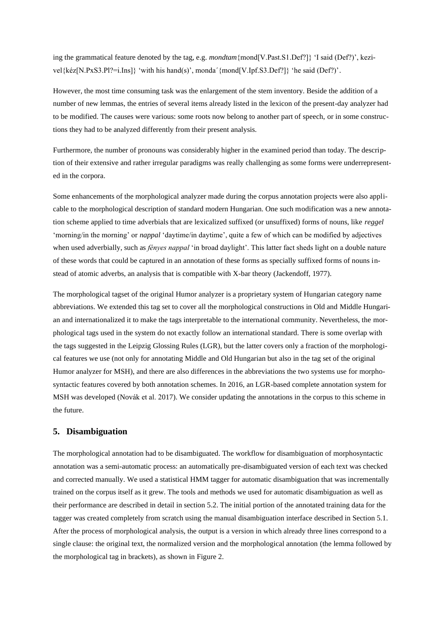ing the grammatical feature denoted by the tag, e.g. *mondtam*{mond[V.Past.S1.Def?]} 'I said (Def?)', kezivel{kéz[N.PxS3.Pl?=i.Ins]} 'with his hand(s)', monda<sup>'</sup>{mond[V.Ipf.S3.Def?]} 'he said (Def?)'.

However, the most time consuming task was the enlargement of the stem inventory. Beside the addition of a number of new lemmas, the entries of several items already listed in the lexicon of the present-day analyzer had to be modified. The causes were various: some roots now belong to another part of speech, or in some constructions they had to be analyzed differently from their present analysis.

Furthermore, the number of pronouns was considerably higher in the examined period than today. The description of their extensive and rather irregular paradigms was really challenging as some forms were underrepresented in the corpora.

Some enhancements of the morphological analyzer made during the corpus annotation projects were also applicable to the morphological description of standard modern Hungarian. One such modification was a new annotation scheme applied to time adverbials that are lexicalized suffixed (or unsuffixed) forms of nouns, like *reggel* 'morning/in the morning' or *nappal* 'daytime/in daytime', quite a few of which can be modified by adjectives when used adverbially, such as *fényes nappal* 'in broad daylight'. This latter fact sheds light on a double nature of these words that could be captured in an annotation of these forms as specially suffixed forms of nouns instead of atomic adverbs, an analysis that is compatible with X-bar theory (Jackendoff, 1977).

The morphological tagset of the original Humor analyzer is a proprietary system of Hungarian category name abbreviations. We extended this tag set to cover all the morphological constructions in Old and Middle Hungarian and internationalized it to make the tags interpretable to the international community. Nevertheless, the morphological tags used in the system do not exactly follow an international standard. There is some overlap with the tags suggested in the Leipzig Glossing Rules (LGR), but the latter covers only a fraction of the morphological features we use (not only for annotating Middle and Old Hungarian but also in the tag set of the original Humor analyzer for MSH), and there are also differences in the abbreviations the two systems use for morphosyntactic features covered by both annotation schemes. In 2016, an LGR-based complete annotation system for MSH was developed (Novák et al. 2017). We consider updating the annotations in the corpus to this scheme in the future.

## <span id="page-11-0"></span>**5. Disambiguation**

The morphological annotation had to be disambiguated. The workflow for disambiguation of morphosyntactic annotation was a semi-automatic process: an automatically pre-disambiguated version of each text was checked and corrected manually. We used a statistical HMM tagger for automatic disambiguation that was incrementally trained on the corpus itself as it grew. The tools and methods we used for automatic disambiguation as well as their performance are described in detail in section 5.2. The initial portion of the annotated training data for the tagger was created completely from scratch using the manual disambiguation interface described in Section 5.1. After the process of morphological analysis, the output is a version in which already three lines correspond to a single clause: the original text, the normalized version and the morphological annotation (the lemma followed by the morphological tag in brackets), as shown in Figure 2.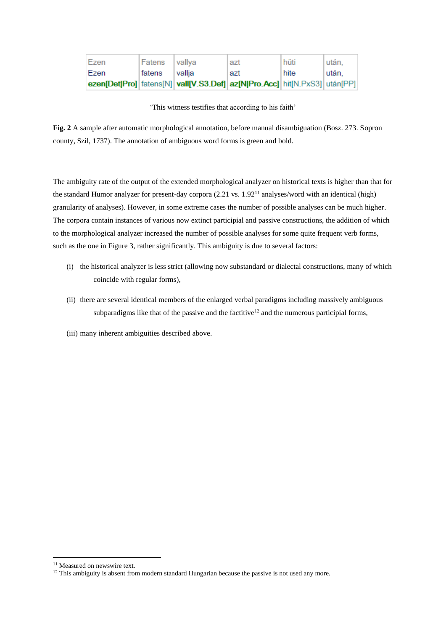| Ezen | Fatens | vallva | azt                                                                                 | hüti | után, |
|------|--------|--------|-------------------------------------------------------------------------------------|------|-------|
| Ezen | tatens | vallia | azt                                                                                 | hite | után. |
|      |        |        | ezen[Det Pro]   fatens[N]   vall[V.S3.Def]   az[N Pro.Acc]   hit[N.PxS3]   után[PP] |      |       |

'This witness testifies that according to his faith'

**Fig. 2** A sample after automatic morphological annotation, before manual disambiguation (Bosz. 273. Sopron county, Szil, 1737). The annotation of ambiguous word forms is green and bold.

The ambiguity rate of the output of the extended morphological analyzer on historical texts is higher than that for the standard Humor analyzer for present-day corpora (2.21 vs. 1.92<sup>11</sup> analyses/word with an identical (high) granularity of analyses). However, in some extreme cases the number of possible analyses can be much higher. The corpora contain instances of various now extinct participial and passive constructions, the addition of which to the morphological analyzer increased the number of possible analyses for some quite frequent verb forms, such as the one in Figure 3, rather significantly. This ambiguity is due to several factors:

- (i) the historical analyzer is less strict (allowing now substandard or dialectal constructions, many of which coincide with regular forms),
- (ii) there are several identical members of the enlarged verbal paradigms including massively ambiguous subparadigms like that of the passive and the factitive<sup>12</sup> and the numerous participial forms,
- (iii) many inherent ambiguities described above.

<sup>&</sup>lt;sup>11</sup> Measured on newswire text.

 $12$  This ambiguity is absent from modern standard Hungarian because the passive is not used any more.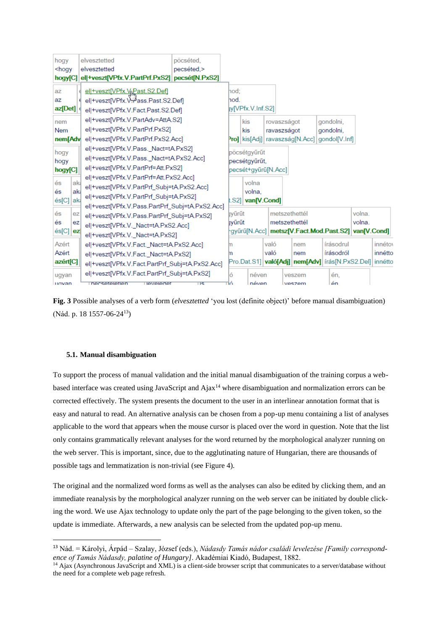| hogy                                                                                                                                     |            | elvesztetted                                            | pöcséted.  |               |                         |      |                                                                 |           |        |         |
|------------------------------------------------------------------------------------------------------------------------------------------|------------|---------------------------------------------------------|------------|---------------|-------------------------|------|-----------------------------------------------------------------|-----------|--------|---------|
| <hogy< th=""><th></th><th>elvesztetted</th><th>pecséted.&gt;</th><th></th><th></th><th></th><th></th><th></th><th></th><th></th></hogy<> |            | elvesztetted                                            | pecséted.> |               |                         |      |                                                                 |           |        |         |
|                                                                                                                                          |            | hogy[C] el +veszt[VPfx.V.PartPrf.PxS2]   pecsét[N.PxS2] |            |               |                         |      |                                                                 |           |        |         |
| az                                                                                                                                       |            | ell+veszt[VPfx.V <sub>il</sub> Past.S2.Def]             |            | hod:          |                         |      |                                                                 |           |        |         |
| az                                                                                                                                       |            | ell+veszt[VPfx.V-ass.Past.S2.Def]                       |            | hod.          |                         |      |                                                                 |           |        |         |
| az[Det]                                                                                                                                  |            | ell+veszt[VPfx.V.Fact.Past.S2.Def]                      |            |               | ly[VPfx.V.Inf.S2]       |      |                                                                 |           |        |         |
| nem                                                                                                                                      |            | el +veszt[VPfx.V.PartAdv=AttA.S2]                       |            |               | kis                     |      | rovaszságot                                                     | gondolni, |        |         |
| <b>Nem</b>                                                                                                                               |            | ell+veszt[VPfx.V.PartPrf.PxS2]                          |            |               | kis                     |      | ravaszságot                                                     | gondolni. |        |         |
|                                                                                                                                          |            | nem[Adv  el +veszt[VPfx.V.PartPrf.PxS2.Acc]             |            |               |                         |      | <b>Pro]</b> kis[Adj] ravaszság[N.Acc] gondol[V.Inf]             |           |        |         |
| hogy                                                                                                                                     |            | ell+veszt[VPfx.V.Pass. Nact=tA.PxS2]                    |            |               | pöcsétgyűrűt            |      |                                                                 |           |        |         |
| hogy                                                                                                                                     |            | el +veszt[VPfx.V.Pass._Nact=tA.PxS2.Acc]                |            |               | pecsétgyűrűt,           |      |                                                                 |           |        |         |
| hogy[C]                                                                                                                                  |            | ell+veszt[VPfx.V.PartPrf=Att.PxS2]                      |            |               | pecsét+gyűrű[N.Acc]     |      |                                                                 |           |        |         |
|                                                                                                                                          |            | ell+veszt[VPfx.V.PartPrf=Att.PxS2.Acc]                  |            |               |                         |      |                                                                 |           |        |         |
| és<br>és                                                                                                                                 | aki<br>akl | ell+veszt[VPfx.V.PartPrf Subj=tA.PxS2.Acc]              |            |               | volna<br>volna.         |      |                                                                 |           |        |         |
| és[C]                                                                                                                                    | aka        | ell+veszt[VPfx.V.PartPrf Subj=tA.PxS2]                  |            | :.S21         | van <sub>IV</sub> .Cond |      |                                                                 |           |        |         |
|                                                                                                                                          |            | el +veszt[VPfx.V.Pass.PartPrf Subj=tA.PxS2.Acc]         |            |               |                         |      |                                                                 |           |        |         |
| és                                                                                                                                       | ez         | ell+veszt[VPfx.V.Pass.PartPrf Subj=tA.PxS2]             |            | <b>Ivűrűt</b> |                         |      | metszethettél                                                   |           | volna  |         |
| és                                                                                                                                       | ez         | ell+veszt[VPfx.V. Nact=tA.PxS2.Acc]                     |            | <b>Iyürüt</b> |                         |      | metszethettél                                                   |           | volna. |         |
| és[C]                                                                                                                                    | ez         | ell+veszt[VPfx.V._Nact=tA.PxS2]                         |            |               |                         |      | gyűrű[N.Acc]   metsz[V.Fact.Mod.Past.S2]   van[V.Cond]          |           |        |         |
| Azért                                                                                                                                    |            | ell+vesztlVPfx.V.Fact. Nact=tA.PxS2.Accl                |            | m             |                         | való | nem                                                             | írásodrul |        | innétoy |
| Azért                                                                                                                                    |            | ell+veszt[VPfx.V.Fact. Nact=tA.PxS2]                    |            | m             |                         | való | nem                                                             | írásodról |        | innétto |
| azért[C]                                                                                                                                 |            | ell+veszt[VPfx.V.Fact.PartPrf Subj=tA.PxS2.Acc]         |            |               |                         |      | Pro.Dat.S1]   való[Adj]   nem[Adv]   írás[N.PxS2.Del]   innétto |           |        |         |
| ugyan                                                                                                                                    |            | ell+veszt[VPfx.V.Fact.PartPrf Subj=tA.PxS2]             |            | Ó             | néven                   |      | veszem                                                          | én.       |        |         |
| udvan                                                                                                                                    |            | <b>Inecseteietien</b><br><b>HAVAIADAT</b>               | πе         | ПΛ            | néven                   |      | $V$ $P$ $R$ $P$ $m$                                             | ón        |        |         |

**Fig. 3** Possible analyses of a verb form (*elvesztetted* 'you lost (definite object)' before manual disambiguation) (Nád. p. 18 1557-06-24<sup>13</sup>)

### <span id="page-13-0"></span>**5.1. Manual disambiguation**

To support the process of manual validation and the initial manual disambiguation of the training corpus a webbased interface was created using JavaScript and Ajax<sup>14</sup> where disambiguation and normalization errors can be corrected effectively. The system presents the document to the user in an interlinear annotation format that is easy and natural to read. An alternative analysis can be chosen from a pop-up menu containing a list of analyses applicable to the word that appears when the mouse cursor is placed over the word in question. Note that the list only contains grammatically relevant analyses for the word returned by the morphological analyzer running on the web server. This is important, since, due to the agglutinating nature of Hungarian, there are thousands of possible tags and lemmatization is non-trivial (see Figure 4).

The original and the normalized word forms as well as the analyses can also be edited by clicking them, and an immediate reanalysis by the morphological analyzer running on the web server can be initiated by double clicking the word. We use Ajax technology to update only the part of the page belonging to the given token, so the update is immediate. Afterwards, a new analysis can be selected from the updated pop-up menu.

<sup>13</sup> Nád. = Károlyi, Árpád – Szalay, József (eds.), *Nádasdy Tamás nádor családi levelezése [Family correspondence of Tamás Nádasdy, palatine of Hungary]*. Akadémiai Kiadó, Budapest, 1882.

 $14$  Ajax (Asynchronous JavaScript and XML) is a client-side browser script that communicates to a server/database without the need for a complete web page refresh.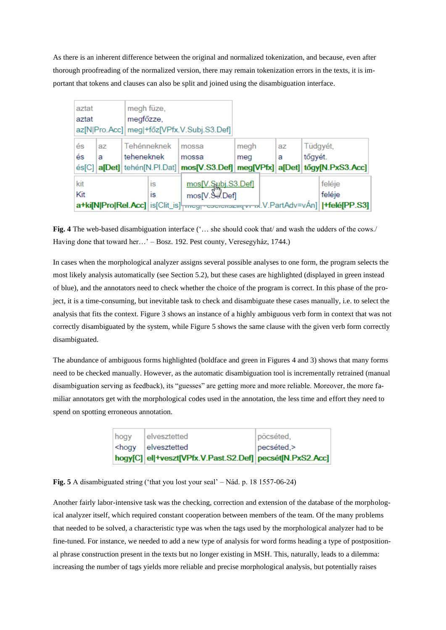As there is an inherent difference between the original and normalized tokenization, and because, even after thorough proofreading of the normalized version, there may remain tokenization errors in the texts, it is important that tokens and clauses can also be split and joined using the disambiguation interface.

| aztat<br>aztat    |         | megh füze,<br>megfőzze, |             | az[N Pro.Acc]   meg +főz[VPfx.V.Subj.S3.Def                                                                                              |             |         |                     |                  |
|-------------------|---------|-------------------------|-------------|------------------------------------------------------------------------------------------------------------------------------------------|-------------|---------|---------------------|------------------|
| és<br>és<br>és[C] | az<br>а | teheneknek              | Tehénneknek | mossa<br>mossa<br>a[Det] tehén[N.Pl.Dat]   mos[V.S3.Def]   meg[VPfx]   a[Det]   to gy[N.PxS3.Acc]                                        | megh<br>meg | az<br>a | Tüdgyét,<br>tőgyét. |                  |
| kit<br>Kit        |         |                         | IS<br>IS    | mos[V.Subj.S3.Def]<br>mos[V.SJ.Def]<br>a+ki[N Pro Rel.Acc] is[Clit_is]  <sub>Tringg</sub> -coordination-rol.V.PartAdv=vAn]  +felé[PP.S3] |             |         |                     | feléje<br>feléje |

**Fig. 4** The web-based disambiguation interface ('… she should cook that/ and wash the udders of the cows./ Having done that toward her…' – Bosz. 192. Pest county, Veresegyház, 1744.)

In cases when the morphological analyzer assigns several possible analyses to one form, the program selects the most likely analysis automatically (see Section 5.2), but these cases are highlighted (displayed in green instead of blue), and the annotators need to check whether the choice of the program is correct. In this phase of the project, it is a time-consuming, but inevitable task to check and disambiguate these cases manually, i.e. to select the analysis that fits the context. Figure 3 shows an instance of a highly ambiguous verb form in context that was not correctly disambiguated by the system, while Figure 5 shows the same clause with the given verb form correctly disambiguated.

The abundance of ambiguous forms highlighted (boldface and green in Figures 4 and 3) shows that many forms need to be checked manually. However, as the automatic disambiguation tool is incrementally retrained (manual disambiguation serving as feedback), its "guesses" are getting more and more reliable. Moreover, the more familiar annotators get with the morphological codes used in the annotation, the less time and effort they need to spend on spotting erroneous annotation.

| hogy | elvesztetted                                             | pöcséted,  |
|------|----------------------------------------------------------|------------|
|      | Shoqy lelvesztetted                                      | pecséted.> |
|      | hogy[C] el +veszt[VPfx.V.Past.S2.Def] pecsét[N.PxS2.Acc] |            |

**Fig. 5** A disambiguated string ('that you lost your seal' – Nád. p. 18 1557-06-24)

Another fairly labor-intensive task was the checking, correction and extension of the database of the morphological analyzer itself, which required constant cooperation between members of the team. Of the many problems that needed to be solved, a characteristic type was when the tags used by the morphological analyzer had to be fine-tuned. For instance, we needed to add a new type of analysis for word forms heading a type of postpositional phrase construction present in the texts but no longer existing in MSH. This, naturally, leads to a dilemma: increasing the number of tags yields more reliable and precise morphological analysis, but potentially raises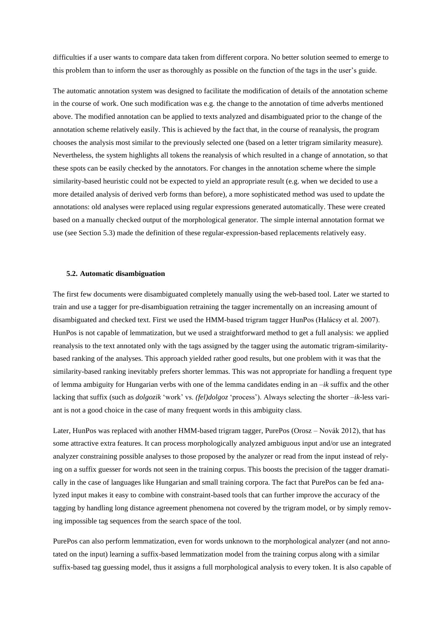difficulties if a user wants to compare data taken from different corpora. No better solution seemed to emerge to this problem than to inform the user as thoroughly as possible on the function of the tags in the user's guide.

The automatic annotation system was designed to facilitate the modification of details of the annotation scheme in the course of work. One such modification was e.g. the change to the annotation of time adverbs mentioned above. The modified annotation can be applied to texts analyzed and disambiguated prior to the change of the annotation scheme relatively easily. This is achieved by the fact that, in the course of reanalysis, the program chooses the analysis most similar to the previously selected one (based on a letter trigram similarity measure). Nevertheless, the system highlights all tokens the reanalysis of which resulted in a change of annotation, so that these spots can be easily checked by the annotators. For changes in the annotation scheme where the simple similarity-based heuristic could not be expected to yield an appropriate result (e.g. when we decided to use a more detailed analysis of derived verb forms than before), a more sophisticated method was used to update the annotations: old analyses were replaced using regular expressions generated automatically. These were created based on a manually checked output of the morphological generator. The simple internal annotation format we use (see Section [5.3\)](#page-16-0) made the definition of these regular-expression-based replacements relatively easy.

### <span id="page-15-0"></span>**5.2. Automatic disambiguation**

The first few documents were disambiguated completely manually using the web-based tool. Later we started to train and use a tagger for pre-disambiguation retraining the tagger incrementally on an increasing amount of disambiguated and checked text. First we used the HMM-based trigram tagger HunPos (Halácsy et al. 2007). HunPos is not capable of lemmatization, but we used a straightforward method to get a full analysis: we applied reanalysis to the text annotated only with the tags assigned by the tagger using the automatic trigram-similaritybased ranking of the analyses. This approach yielded rather good results, but one problem with it was that the similarity-based ranking inevitably prefers shorter lemmas. This was not appropriate for handling a frequent type of lemma ambiguity for Hungarian verbs with one of the lemma candidates ending in an *–ik* suffix and the other lacking that suffix (such as *dolgozik* 'work' vs. *(fel)dolgoz* 'process'). Always selecting the shorter *–ik*-less variant is not a good choice in the case of many frequent words in this ambiguity class.

Later, HunPos was replaced with another HMM-based trigram tagger, PurePos (Orosz – Novák 2012), that has some attractive extra features. It can process morphologically analyzed ambiguous input and/or use an integrated analyzer constraining possible analyses to those proposed by the analyzer or read from the input instead of relying on a suffix guesser for words not seen in the training corpus. This boosts the precision of the tagger dramatically in the case of languages like Hungarian and small training corpora. The fact that PurePos can be fed analyzed input makes it easy to combine with constraint-based tools that can further improve the accuracy of the tagging by handling long distance agreement phenomena not covered by the trigram model, or by simply removing impossible tag sequences from the search space of the tool.

PurePos can also perform lemmatization, even for words unknown to the morphological analyzer (and not annotated on the input) learning a suffix-based lemmatization model from the training corpus along with a similar suffix-based tag guessing model, thus it assigns a full morphological analysis to every token. It is also capable of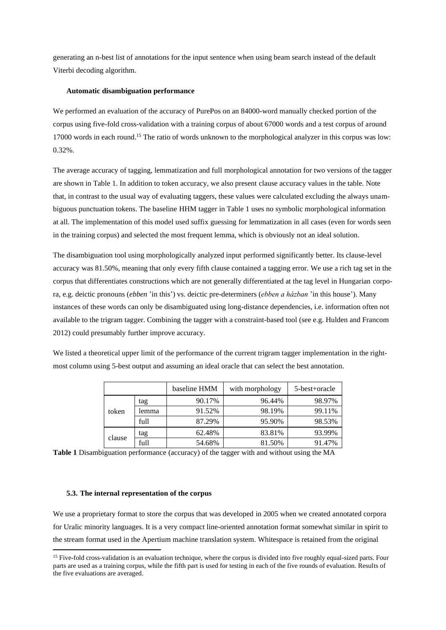generating an n-best list of annotations for the input sentence when using beam search instead of the default Viterbi decoding algorithm.

#### **Automatic disambiguation performance**

We performed an evaluation of the accuracy of PurePos on an 84000-word manually checked portion of the corpus using five-fold cross-validation with a training corpus of about 67000 words and a test corpus of around 17000 words in each round.<sup>15</sup> The ratio of words unknown to the morphological analyzer in this corpus was low: 0.32%.

The average accuracy of tagging, lemmatization and full morphological annotation for two versions of the tagger are shown in Table 1. In addition to token accuracy, we also present clause accuracy values in the table. Note that, in contrast to the usual way of evaluating taggers, these values were calculated excluding the always unambiguous punctuation tokens. The baseline HHM tagger in Table 1 uses no symbolic morphological information at all. The implementation of this model used suffix guessing for lemmatization in all cases (even for words seen in the training corpus) and selected the most frequent lemma, which is obviously not an ideal solution.

The disambiguation tool using morphologically analyzed input performed significantly better. Its clause-level accuracy was 81.50%, meaning that only every fifth clause contained a tagging error. We use a rich tag set in the corpus that differentiates constructions which are not generally differentiated at the tag level in Hungarian corpora, e.g. deictic pronouns (*ebben* 'in this') vs. deictic pre-determiners (*ebben a házban* 'in this house'). Many instances of these words can only be disambiguated using long-distance dependencies, i.e. information often not available to the trigram tagger. Combining the tagger with a constraint-based tool (see e.g. Hulden and Francom 2012) could presumably further improve accuracy.

We listed a theoretical upper limit of the performance of the current trigram tagger implementation in the rightmost column using 5-best output and assuming an ideal oracle that can select the best annotation.

|        |       | baseline HMM | with morphology | 5-best+oracle |
|--------|-------|--------------|-----------------|---------------|
|        | tag   | 90.17%       | 96.44%          | 98.97%        |
| token  | lemma | 91.52%       | 98.19%          | 99.11%        |
|        | full  | 87.29%       | 95.90%          | 98.53%        |
|        | tag   | 62.48%       | 83.81%          | 93.99%        |
| clause | full  | 54.68%       | 81.50%          | 91.47%        |

**Table 1** Disambiguation performance (accuracy) of the tagger with and without using the MA

#### <span id="page-16-0"></span>**5.3. The internal representation of the corpus**

We use a proprietary format to store the corpus that was developed in 2005 when we created annotated corpora for Uralic minority languages. It is a very compact line-oriented annotation format somewhat similar in spirit to the stream format used in the Apertium machine translation system. Whitespace is retained from the original

<sup>&</sup>lt;sup>15</sup> Five-fold cross-validation is an evaluation technique, where the corpus is divided into five roughly equal-sized parts. Four parts are used as a training corpus, while the fifth part is used for testing in each of the five rounds of evaluation. Results of the five evaluations are averaged.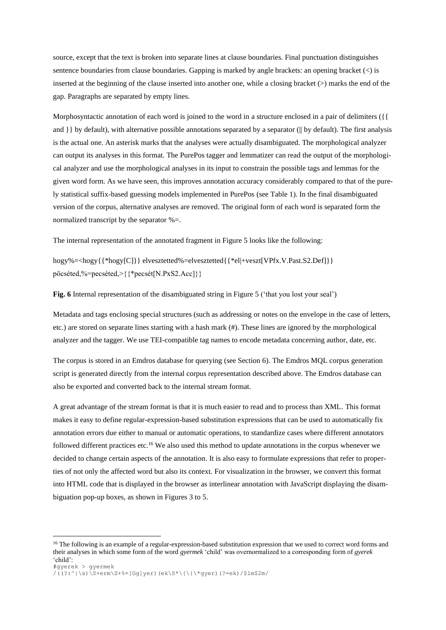source, except that the text is broken into separate lines at clause boundaries. Final punctuation distinguishes sentence boundaries from clause boundaries. Gapping is marked by angle brackets: an opening bracket  $\langle \cdot \rangle$  is inserted at the beginning of the clause inserted into another one, while a closing bracket (>) marks the end of the gap. Paragraphs are separated by empty lines.

Morphosyntactic annotation of each word is joined to the word in a structure enclosed in a pair of delimiters ({{ and } by default), with alternative possible annotations separated by a separator ( $\parallel$  by default). The first analysis is the actual one. An asterisk marks that the analyses were actually disambiguated. The morphological analyzer can output its analyses in this format. The PurePos tagger and lemmatizer can read the output of the morphological analyzer and use the morphological analyses in its input to constrain the possible tags and lemmas for the given word form. As we have seen, this improves annotation accuracy considerably compared to that of the purely statistical suffix-based guessing models implemented in PurePos (see Table 1). In the final disambiguated version of the corpus, alternative analyses are removed. The original form of each word is separated form the normalized transcript by the separator %=.

The internal representation of the annotated fragment in Figure 5 looks like the following:

hogy%=<hogy{{\*hogy[C]}} elvesztetted%=elvesztetted{{\*el|+veszt[VPfx.V.Past.S2.Def]}} pöcséted,%=pecséted,>{{\*pecsét[N.PxS2.Acc]}}

**Fig. 6** Internal representation of the disambiguated string in Figure 5 ('that you lost your seal')

Metadata and tags enclosing special structures (such as addressing or notes on the envelope in the case of letters, etc.) are stored on separate lines starting with a hash mark (#). These lines are ignored by the morphological analyzer and the tagger. We use TEI-compatible tag names to encode metadata concerning author, date, etc.

The corpus is stored in an Emdros database for querying (see Section [6\)](#page-18-0). The Emdros MQL corpus generation script is generated directly from the internal corpus representation described above. The Emdros database can also be exported and converted back to the internal stream format.

A great advantage of the stream format is that it is much easier to read and to process than XML. This format makes it easy to define regular-expression-based substitution expressions that can be used to automatically fix annotation errors due either to manual or automatic operations, to standardize cases where different annotators followed different practices etc.<sup>16</sup> We also used this method to update annotations in the corpus whenever we decided to change certain aspects of the annotation. It is also easy to formulate expressions that refer to properties of not only the affected word but also its context. For visualization in the browser, we convert this format into HTML code that is displayed in the browser as interlinear annotation with JavaScript displaying the disambiguation pop-up boxes, as shown in Figures 3 to 5.

 $16$  The following is an example of a regular-expression-based substitution expression that we used to correct word forms and their analyses in which some form of the word *gyermek* 'child' was overnormalized to a corresponding form of *gyerek* 'child':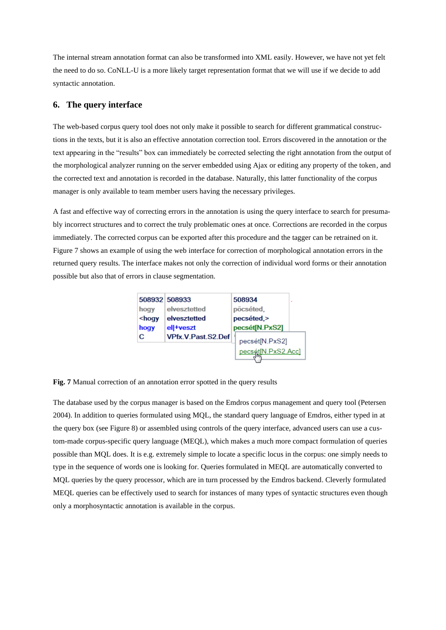The internal stream annotation format can also be transformed into XML easily. However, we have not yet felt the need to do so. CoNLL-U is a more likely target representation format that we will use if we decide to add syntactic annotation.

## <span id="page-18-0"></span>**6. The query interface**

The web-based corpus query tool does not only make it possible to search for different grammatical constructions in the texts, but it is also an effective annotation correction tool. Errors discovered in the annotation or the text appearing in the "results" box can immediately be corrected selecting the right annotation from the output of the morphological analyzer running on the server embedded using Ajax or editing any property of the token, and the corrected text and annotation is recorded in the database. Naturally, this latter functionality of the corpus manager is only available to team member users having the necessary privileges.

A fast and effective way of correcting errors in the annotation is using the query interface to search for presumably incorrect structures and to correct the truly problematic ones at once. Corrections are recorded in the corpus immediately. The corrected corpus can be exported after this procedure and the tagger can be retrained on it. Figure 7 shows an example of using the web interface for correction of morphological annotation errors in the returned query results. The interface makes not only the correction of individual word forms or their annotation possible but also that of errors in clause segmentation.

|          | 508932 508933             | 508934<br>٠        |
|----------|---------------------------|--------------------|
| hogy     | elvesztetted              | pöcséted.          |
| $<$ hogy | elvesztetted              | pecséted,>         |
| hogy     | ell+veszt                 | pecsét[N.PxS2]     |
| c        | <b>VPfx V Past S2 Def</b> | pecsét[N.PxS2]     |
|          |                           | pecsét[N.PxS2.Acc] |

**Fig. 7** Manual correction of an annotation error spotted in the query results

The database used by the corpus manager is based on the Emdros corpus management and query tool (Petersen 2004). In addition to queries formulated using MQL, the standard query language of Emdros, either typed in at the query box (see Figure 8) or assembled using controls of the query interface, advanced users can use a custom-made corpus-specific query language (MEQL), which makes a much more compact formulation of queries possible than MQL does. It is e.g. extremely simple to locate a specific locus in the corpus: one simply needs to type in the sequence of words one is looking for. Queries formulated in MEQL are automatically converted to MQL queries by the query processor, which are in turn processed by the Emdros backend. Cleverly formulated MEQL queries can be effectively used to search for instances of many types of syntactic structures even though only a morphosyntactic annotation is available in the corpus.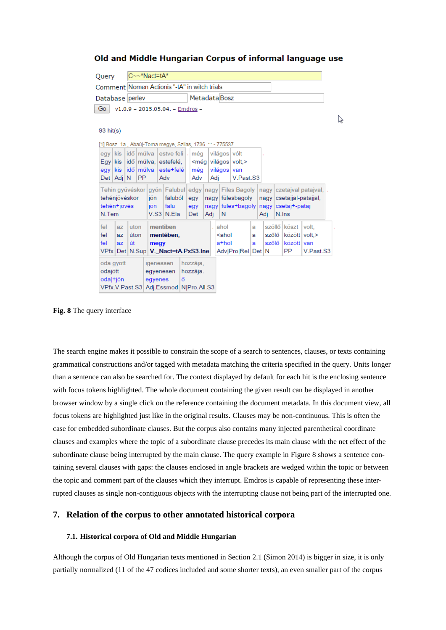## Old and Middle Hungarian Corpus of informal language use



**Fig. 8** The query interface

The search engine makes it possible to constrain the scope of a search to sentences, clauses, or texts containing grammatical constructions and/or tagged with metadata matching the criteria specified in the query. Units longer than a sentence can also be searched for. The context displayed by default for each hit is the enclosing sentence with focus tokens highlighted. The whole document containing the given result can be displayed in another browser window by a single click on the reference containing the document metadata. In this document view, all focus tokens are highlighted just like in the original results. Clauses may be non-continuous. This is often the case for embedded subordinate clauses. But the corpus also contains many injected parenthetical coordinate clauses and examples where the topic of a subordinate clause precedes its main clause with the net effect of the subordinate clause being interrupted by the main clause. The query example in Figure 8 shows a sentence containing several clauses with gaps: the clauses enclosed in angle brackets are wedged within the topic or between the topic and comment part of the clauses which they interrupt. Emdros is capable of representing these interrupted clauses as single non-contiguous objects with the interrupting clause not being part of the interrupted one.

## **7. Relation of the corpus to other annotated historical corpora**

#### **7.1. Historical corpora of Old and Middle Hungarian**

Although the corpus of Old Hungarian texts mentioned in Section [2.1](#page-1-0) (Simon 2014) is bigger in size, it is only partially normalized (11 of the 47 codices included and some shorter texts), an even smaller part of the corpus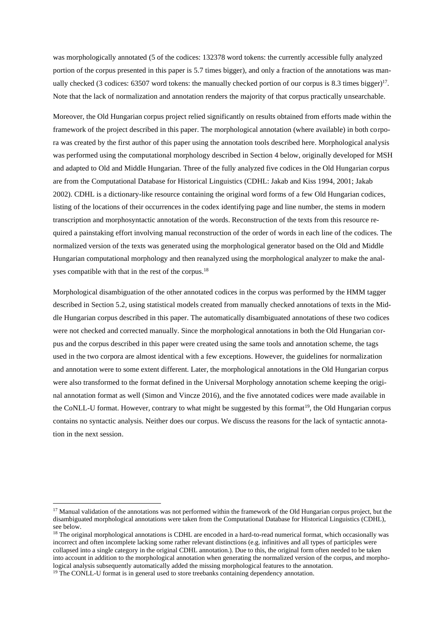was morphologically annotated (5 of the codices: 132378 word tokens: the currently accessible fully analyzed portion of the corpus presented in this paper is 5.7 times bigger), and only a fraction of the annotations was manually checked (3 codices: 63507 word tokens: the manually checked portion of our corpus is 8.3 times bigger)<sup>17</sup>. Note that the lack of normalization and annotation renders the majority of that corpus practically unsearchable.

Moreover, the Old Hungarian corpus project relied significantly on results obtained from efforts made within the framework of the project described in this paper. The morphological annotation (where available) in both corpora was created by the first author of this paper using the annotation tools described here. Morphological analysis was performed using the computational morphology described in Section [4](#page-10-0) below, originally developed for MSH and adapted to Old and Middle Hungarian. Three of the fully analyzed five codices in the Old Hungarian corpus are from the Computational Database for Historical Linguistics (CDHL: Jakab and Kiss 1994, 2001; Jakab 2002). CDHL is a dictionary-like resource containing the original word forms of a few Old Hungarian codices, listing of the locations of their occurrences in the codex identifying page and line number, the stems in modern transcription and morphosyntactic annotation of the words. Reconstruction of the texts from this resource required a painstaking effort involving manual reconstruction of the order of words in each line of the codices. The normalized version of the texts was generated using the morphological generator based on the Old and Middle Hungarian computational morphology and then reanalyzed using the morphological analyzer to make the analyses compatible with that in the rest of the corpus.<sup>18</sup>

Morphological disambiguation of the other annotated codices in the corpus was performed by the HMM tagger described in Section [5.2,](#page-15-0) using statistical models created from manually checked annotations of texts in the Middle Hungarian corpus described in this paper. The automatically disambiguated annotations of these two codices were not checked and corrected manually. Since the morphological annotations in both the Old Hungarian corpus and the corpus described in this paper were created using the same tools and annotation scheme, the tags used in the two corpora are almost identical with a few exceptions. However, the guidelines for normalization and annotation were to some extent different. Later, the morphological annotations in the Old Hungarian corpus were also transformed to the format defined in the Universal Morphology annotation scheme keeping the original annotation format as well (Simon and Vincze 2016), and the five annotated codices were made available in the CoNLL-U format. However, contrary to what might be suggested by this format<sup>19</sup>, the Old Hungarian corpus contains no syntactic analysis. Neither does our corpus. We discuss the reasons for the lack of syntactic annotation in the next session.

<sup>&</sup>lt;sup>17</sup> Manual validation of the annotations was not performed within the framework of the Old Hungarian corpus project, but the disambiguated morphological annotations were taken from the Computational Database for Historical Linguistics (CDHL), see below.

<sup>&</sup>lt;sup>18</sup> The original morphological annotations is CDHL are encoded in a hard-to-read numerical format, which occasionally was incorrect and often incomplete lacking some rather relevant distinctions (e.g. infinitives and all types of participles were collapsed into a single category in the original CDHL annotation.). Due to this, the original form often needed to be taken into account in addition to the morphological annotation when generating the normalized version of the corpus, and morphological analysis subsequently automatically added the missing morphological features to the annotation.

<sup>&</sup>lt;sup>19</sup> The CONLL-U format is in general used to store treebanks containing dependency annotation.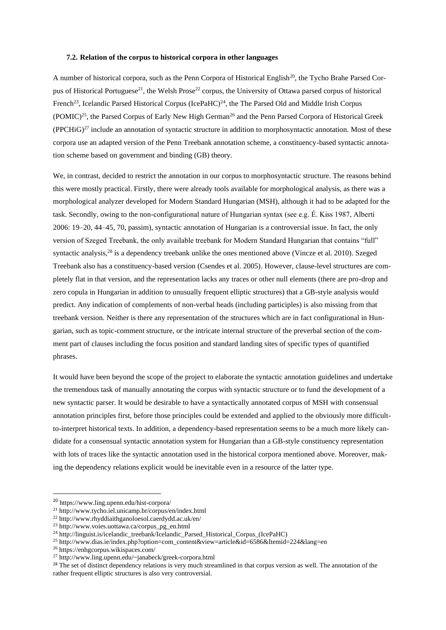#### <span id="page-21-0"></span>**7.2. Relation of the corpus to historical corpora in other languages**

A number of historical corpora, such as the Penn Corpora of Historical English<sup>20</sup>, the Tycho Brahe Parsed Corpus of Historical Portuguese<sup>21</sup>, the Welsh Prose<sup>22</sup> corpus, the University of Ottawa parsed corpus of historical French<sup>23</sup>, Icelandic Parsed Historical Corpus (IcePaHC)<sup>24</sup>, the The Parsed Old and Middle Irish Corpus (POMIC)<sup>25</sup>, the Parsed Corpus of Early New High German<sup>26</sup> and the Penn Parsed Corpora of Historical Greek  $(PPCHiG)<sup>27</sup>$  include an annotation of syntactic structure in addition to morphosyntactic annotation. Most of these corpora use an adapted version of the Penn Treebank annotation scheme, a constituency-based syntactic annotation scheme based on government and binding (GB) theory.

We, in contrast, decided to restrict the annotation in our corpus to morphosyntactic structure. The reasons behind this were mostly practical. Firstly, there were already tools available for morphological analysis, as there was a morphological analyzer developed for Modern Standard Hungarian (MSH), although it had to be adapted for the task. Secondly, owing to the non-configurational nature of Hungarian syntax (see e.g. É. Kiss 1987, Alberti 2006: 19–20, 44–45, 70, passim), syntactic annotation of Hungarian is a controversial issue. In fact, the only version of Szeged Treebank, the only available treebank for Modern Standard Hungarian that contains "full" syntactic analysis,<sup>28</sup> is a dependency treebank unlike the ones mentioned above (Vincze et al. 2010). Szeged Treebank also has a constituency-based version (Csendes et al. 2005). However, clause-level structures are completely flat in that version, and the representation lacks any traces or other null elements (there are pro-drop and zero copula in Hungarian in addition to unusually frequent elliptic structures) that a GB-style analysis would predict. Any indication of complements of non-verbal heads (including participles) is also missing from that treebank version. Neither is there any representation of the structures which are in fact configurational in Hungarian, such as topic-comment structure, or the intricate internal structure of the preverbal section of the comment part of clauses including the focus position and standard landing sites of specific types of quantified phrases.

It would have been beyond the scope of the project to elaborate the syntactic annotation guidelines and undertake the tremendous task of manually annotating the corpus with syntactic structure or to fund the development of a new syntactic parser. It would be desirable to have a syntactically annotated corpus of MSH with consensual annotation principles first, before those principles could be extended and applied to the obviously more difficultto-interpret historical texts. In addition, a dependency-based representation seems to be a much more likely candidate for a consensual syntactic annotation system for Hungarian than a GB-style constituency representation with lots of traces like the syntactic annotation used in the historical corpora mentioned above. Moreover, making the dependency relations explicit would be inevitable even in a resource of the latter type.

<sup>20</sup> https://www.ling.upenn.edu/hist-corpora/

<sup>21</sup> http://www.tycho.iel.unicamp.br/corpus/en/index.html

<sup>22</sup> http://www.rhyddiaithganoloesol.caerdydd.ac.uk/en/

<sup>23</sup> http://www.voies.uottawa.ca/corpus\_pg\_en.html

 $^{24}$  http://linguist.is/icelandic\_treebank/Icelandic\_Parsed\_Historical\_Corpus\_(IcePaHC)

<sup>&</sup>lt;sup>25</sup> http://www.dias.ie/index.php?option=com\_content&view=article&id=6586&Itemid=224&lang=en

<sup>26</sup> https://enhgcorpus.wikispaces.com/

<sup>27</sup> http://www.ling.upenn.edu/~janabeck/greek-corpora.html

<sup>&</sup>lt;sup>28</sup> The set of distinct dependency relations is very much streamlined in that corpus version as well. The annotation of the rather frequent elliptic structures is also very controversial.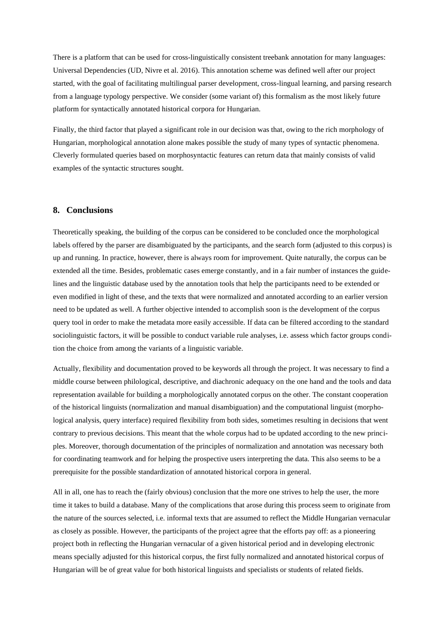There is a platform that can be used for cross-linguistically consistent treebank annotation for many languages: Universal Dependencies (UD, Nivre et al. 2016). This annotation scheme was defined well after our project started, with the goal of facilitating multilingual parser development, cross-lingual learning, and parsing research from a language typology perspective. We consider (some variant of) this formalism as the most likely future platform for syntactically annotated historical corpora for Hungarian.

Finally, the third factor that played a significant role in our decision was that, owing to the rich morphology of Hungarian, morphological annotation alone makes possible the study of many types of syntactic phenomena. Cleverly formulated queries based on morphosyntactic features can return data that mainly consists of valid examples of the syntactic structures sought.

## **8. Conclusions**

Theoretically speaking, the building of the corpus can be considered to be concluded once the morphological labels offered by the parser are disambiguated by the participants, and the search form (adjusted to this corpus) is up and running. In practice, however, there is always room for improvement. Quite naturally, the corpus can be extended all the time. Besides, problematic cases emerge constantly, and in a fair number of instances the guidelines and the linguistic database used by the annotation tools that help the participants need to be extended or even modified in light of these, and the texts that were normalized and annotated according to an earlier version need to be updated as well. A further objective intended to accomplish soon is the development of the corpus query tool in order to make the metadata more easily accessible. If data can be filtered according to the standard sociolinguistic factors, it will be possible to conduct variable rule analyses, i.e. assess which factor groups condition the choice from among the variants of a linguistic variable.

Actually, flexibility and documentation proved to be keywords all through the project. It was necessary to find a middle course between philological, descriptive, and diachronic adequacy on the one hand and the tools and data representation available for building a morphologically annotated corpus on the other. The constant cooperation of the historical linguists (normalization and manual disambiguation) and the computational linguist (morphological analysis, query interface) required flexibility from both sides, sometimes resulting in decisions that went contrary to previous decisions. This meant that the whole corpus had to be updated according to the new principles. Moreover, thorough documentation of the principles of normalization and annotation was necessary both for coordinating teamwork and for helping the prospective users interpreting the data. This also seems to be a prerequisite for the possible standardization of annotated historical corpora in general.

All in all, one has to reach the (fairly obvious) conclusion that the more one strives to help the user, the more time it takes to build a database. Many of the complications that arose during this process seem to originate from the nature of the sources selected, i.e. informal texts that are assumed to reflect the Middle Hungarian vernacular as closely as possible. However, the participants of the project agree that the efforts pay off: as a pioneering project both in reflecting the Hungarian vernacular of a given historical period and in developing electronic means specially adjusted for this historical corpus, the first fully normalized and annotated historical corpus of Hungarian will be of great value for both historical linguists and specialists or students of related fields.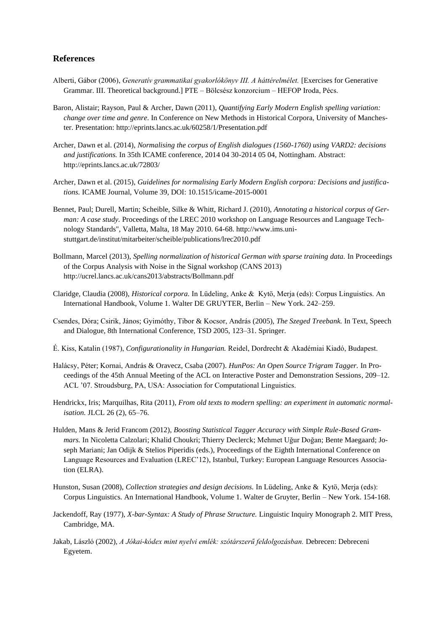## **References**

- Alberti, Gábor (2006), *Generatív grammatikai gyakorlókönyv III. A háttérelmélet.* [Exercises for Generative Grammar. III. Theoretical background.] PTE – Bölcsész konzorcium – HEFOP Iroda, Pécs.
- Baron, Alistair; Rayson, Paul & Archer, Dawn (2011), *Quantifying Early Modern English spelling variation: change over time and genre.* In Conference on New Methods in Historical Corpora, University of Manchester. Presentation: http://eprints.lancs.ac.uk/60258/1/Presentation.pdf
- Archer, Dawn et al. (2014), *Normalising the corpus of English dialogues (1560-1760) using VARD2: decisions and justifications.* In 35th ICAME conference, 2014 04 30-2014 05 04, Nottingham. Abstract: http://eprints.lancs.ac.uk/72803/
- Archer, Dawn et al. (2015), *Guidelines for normalising Early Modern English corpora: Decisions and justifications.* ICAME Journal, Volume 39, DOI: 10.1515/icame-2015-0001
- Bennet, Paul; Durell, Martin; Scheible, Silke & Whitt, Richard J. (2010), *Annotating a historical corpus of German: A case study.* Proceedings of the LREC 2010 workshop on Language Resources and Language Technology Standards", Valletta, Malta, 18 May 2010. 64-68. http://www.ims.unistuttgart.de/institut/mitarbeiter/scheible/publications/lrec2010.pdf
- Bollmann, Marcel (2013), *Spelling normalization of historical German with sparse training data.* In Proceedings of the Corpus Analysis with Noise in the Signal workshop (CANS 2013) http://ucrel.lancs.ac.uk/cans2013/abstracts/Bollmann.pdf
- Claridge, Claudia (2008), *Historical corpora.* In Lüdeling, Anke & Kytö, Merja (eds): Corpus Linguistics. An International Handbook, Volume 1. Walter DE GRUYTER, Berlin – New York. 242–259.
- Csendes, Dóra; Csirik, János; Gyimóthy, Tibor & Kocsor, András (2005), *The Szeged Treebank.* In Text, Speech and Dialogue, 8th International Conference, TSD 2005, 123–31. Springer.
- É. Kiss, Katalin (1987), *Configurationality in Hungarian.* Reidel, Dordrecht & Akadémiai Kiadó, Budapest.
- Halácsy, Péter; Kornai, András & Oravecz, Csaba (2007). *HunPos: An Open Source Trigram Tagger.* In Proceedings of the 45th Annual Meeting of the ACL on Interactive Poster and Demonstration Sessions, 209–12. ACL '07. Stroudsburg, PA, USA: Association for Computational Linguistics.
- Hendrickx, Iris; Marquilhas, Rita (2011), *From old texts to modern spelling: an experiment in automatic normalisation.* JLCL 26 (2), 65–76.
- Hulden, Mans & Jerid Francom (2012), *Boosting Statistical Tagger Accuracy with Simple Rule-Based Grammars.* In Nicoletta Calzolari; Khalid Choukri; Thierry Declerck; Mehmet Uğur Doğan; Bente Maegaard; Joseph Mariani; Jan Odijk & Stelios Piperidis (eds.), Proceedings of the Eighth International Conference on Language Resources and Evaluation (LREC'12), Istanbul, Turkey: European Language Resources Association (ELRA).
- Hunston, Susan (2008), *Collection strategies and design decisions.* In Lüdeling, Anke & Kytö, Merja (eds): Corpus Linguistics. An International Handbook, Volume 1. Walter de Gruyter, Berlin – New York. 154-168.
- Jackendoff, Ray (1977), *X-bar-Syntax: A Study of Phrase Structure.* Linguistic Inquiry Monograph 2. MIT Press, Cambridge, MA.
- Jakab, László (2002), *A Jókai-kódex mint nyelvi emlék: szótárszerű feldolgozásban.* Debrecen: Debreceni Egyetem.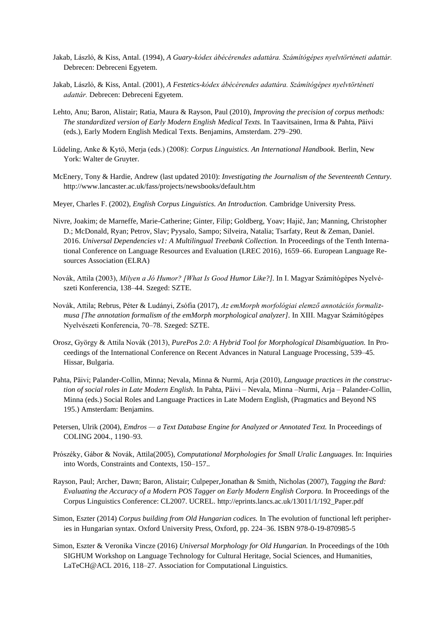- Jakab, László, & Kiss, Antal. (1994), *A Guary-kódex ábécérendes adattára. Számítógépes nyelvtörténeti adattár.* Debrecen: Debreceni Egyetem.
- Jakab, László, & Kiss, Antal. (2001), *A Festetics-kódex ábécérendes adattára. Számítógépes nyelvtörténeti adattár.* Debrecen: Debreceni Egyetem.
- Lehto, Anu; Baron, Alistair; Ratia, Maura & Rayson, Paul (2010), *Improving the precision of corpus methods: The standardized version of Early Modern English Medical Texts.* In Taavitsainen, Irma & Pahta, Päivi (eds.), Early Modern English Medical Texts. Benjamins, Amsterdam. 279–290.
- Lüdeling, Anke & Kytö, Merja (eds.) (2008): *Corpus Linguistics. An International Handbook.* Berlin, New York: Walter de Gruyter.
- McEnery, Tony & Hardie, Andrew (last updated 2010): *Investigating the Journalism of the Seventeenth Century.* http://www.lancaster.ac.uk/fass/projects/newsbooks/default.htm
- Meyer, Charles F. (2002), *English Corpus Linguistics. An Introduction.* Cambridge University Press.
- Nivre, Joakim; de Marneffe, Marie-Catherine; Ginter, Filip; Goldberg, Yoav; Hajič, Jan; Manning, Christopher D.; McDonald, Ryan; Petrov, Slav; Pyysalo, Sampo; Silveira, Natalia; Tsarfaty, Reut & Zeman, Daniel. 2016. *Universal Dependencies v1: A Multilingual Treebank Collection.* In Proceedings of the Tenth International Conference on Language Resources and Evaluation (LREC 2016), 1659–66. European Language Resources Association (ELRA)
- Novák, Attila (2003), *Milyen a Jó Humor? [What Is Good Humor Like?].* In I. Magyar Számítógépes Nyelvészeti Konferencia, 138–44. Szeged: SZTE.
- Novák, Attila; Rebrus, Péter & Ludányi, Zsófia (2017), *Az emMorph morfológiai elemző annotációs formalizmusa [The annotation formalism of the emMorph morphological analyzer].* In XIII. Magyar Számítógépes Nyelvészeti Konferencia, 70–78. Szeged: SZTE.
- Orosz, György & Attila Novák (2013), *PurePos 2.0: A Hybrid Tool for Morphological Disambiguation.* In Proceedings of the International Conference on Recent Advances in Natural Language Processing, 539–45. Hissar, Bulgaria.
- Pahta, Päivi; Palander-Collin, Minna; Nevala, Minna & Nurmi, Arja (2010), *Language practices in the construction of social roles in Late Modern English.* In Pahta, Päivi – Nevala, Minna –Nurmi, Arja – Palander-Collin, Minna (eds.) Social Roles and Language Practices in Late Modern English, (Pragmatics and Beyond NS 195.) Amsterdam: Benjamins.
- Petersen, Ulrik (2004), *Emdros — a Text Database Engine for Analyzed or Annotated Text.* In Proceedings of COLING 2004., 1190–93.
- Prószéky, Gábor & Novák, Attila(2005), *Computational Morphologies for Small Uralic Languages.* In: Inquiries into Words, Constraints and Contexts, 150–157..
- Rayson, Paul; Archer, Dawn; Baron, Alistair; Culpeper,Jonathan & Smith, Nicholas (2007), *Tagging the Bard: Evaluating the Accuracy of a Modern POS Tagger on Early Modern English Corpora.* In Proceedings of the Corpus Linguistics Conference: CL2007. UCREL. http://eprints.lancs.ac.uk/13011/1/192\_Paper.pdf
- Simon, Eszter (2014) *Corpus building from Old Hungarian codices.* In The evolution of functional left peripheries in Hungarian syntax. Oxford University Press, Oxford, pp. 224–36. ISBN 978-0-19-870985-5
- Simon, Eszter & Veronika Vincze (2016) *Universal Morphology for Old Hungarian.* In Proceedings of the 10th SIGHUM Workshop on Language Technology for Cultural Heritage, Social Sciences, and Humanities, LaTeCH@ACL 2016, 118–27. Association for Computational Linguistics.